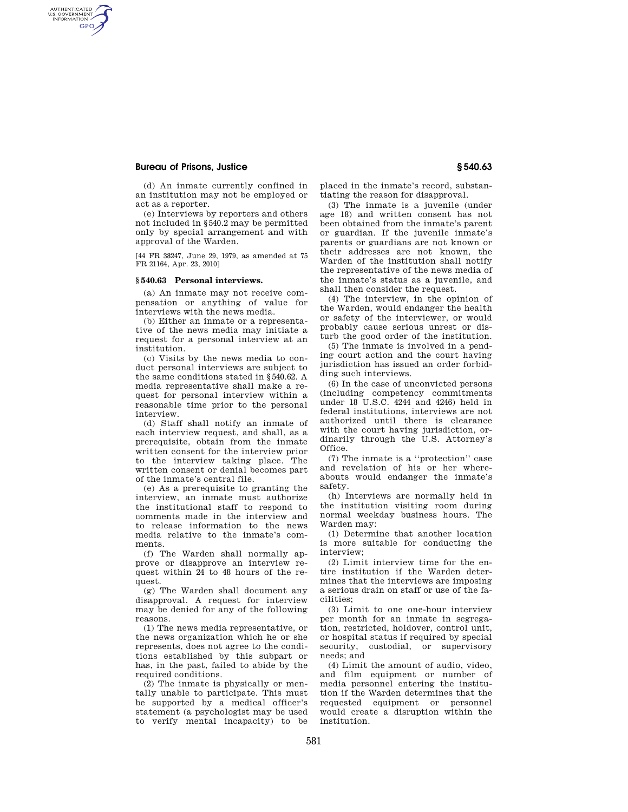# **Bureau of Prisons, Justice § 540.63**

AUTHENTICATED<br>U.S. GOVERNMENT<br>INFORMATION GPO

> (d) An inmate currently confined in an institution may not be employed or act as a reporter.

> (e) Interviews by reporters and others not included in §540.2 may be permitted only by special arrangement and with approval of the Warden.

> [44 FR 38247, June 29, 1979, as amended at 75 FR 21164, Apr. 23, 2010]

## **§ 540.63 Personal interviews.**

(a) An inmate may not receive compensation or anything of value for interviews with the news media.

(b) Either an inmate or a representative of the news media may initiate a request for a personal interview at an institution.

(c) Visits by the news media to conduct personal interviews are subject to the same conditions stated in §540.62. A media representative shall make a request for personal interview within a reasonable time prior to the personal interview.

(d) Staff shall notify an inmate of each interview request, and shall, as a prerequisite, obtain from the inmate written consent for the interview prior to the interview taking place. The written consent or denial becomes part of the inmate's central file.

(e) As a prerequisite to granting the interview, an inmate must authorize the institutional staff to respond to comments made in the interview and to release information to the news media relative to the inmate's comments.

(f) The Warden shall normally approve or disapprove an interview request within 24 to 48 hours of the request.

(g) The Warden shall document any disapproval. A request for interview may be denied for any of the following reasons.

(1) The news media representative, or the news organization which he or she represents, does not agree to the conditions established by this subpart or has, in the past, failed to abide by the required conditions.

(2) The inmate is physically or mentally unable to participate. This must be supported by a medical officer's statement (a psychologist may be used to verify mental incapacity) to be

placed in the inmate's record, substantiating the reason for disapproval.

(3) The inmate is a juvenile (under age 18) and written consent has not been obtained from the inmate's parent or guardian. If the juvenile inmate's parents or guardians are not known or their addresses are not known, the Warden of the institution shall notify the representative of the news media of the inmate's status as a juvenile, and shall then consider the request.

(4) The interview, in the opinion of the Warden, would endanger the health or safety of the interviewer, or would probably cause serious unrest or disturb the good order of the institution.

(5) The inmate is involved in a pending court action and the court having jurisdiction has issued an order forbidding such interviews.

(6) In the case of unconvicted persons (including competency commitments under 18 U.S.C. 4244 and 4246) held in federal institutions, interviews are not authorized until there is clearance with the court having jurisdiction, ordinarily through the U.S. Attorney's Office.

(7) The inmate is a ''protection'' case and revelation of his or her whereabouts would endanger the inmate's safety.

(h) Interviews are normally held in the institution visiting room during normal weekday business hours. The Warden may:

(1) Determine that another location is more suitable for conducting the interview;

(2) Limit interview time for the entire institution if the Warden determines that the interviews are imposing a serious drain on staff or use of the facilities;

(3) Limit to one one-hour interview per month for an inmate in segregation, restricted, holdover, control unit, or hospital status if required by special security, custodial, or supervisory needs; and

(4) Limit the amount of audio, video, and film equipment or number of media personnel entering the institution if the Warden determines that the requested equipment or personnel would create a disruption within the institution.